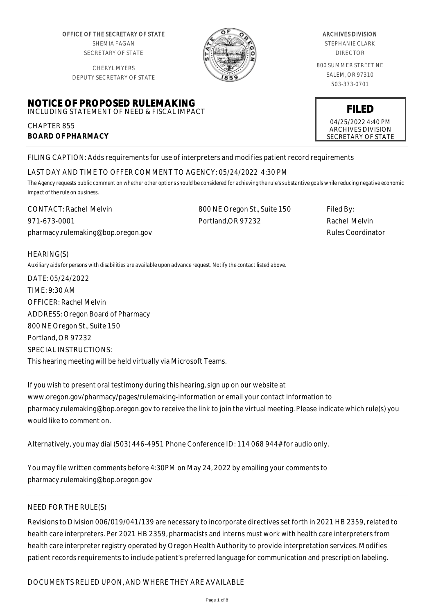OFFICE OF THE SECRETARY OF STATE SHEMIA FAGAN SECRETARY OF STATE

CHERYL MYERS



#### ARCHIVES DIVISION

STEPHANIE CLARK DIRECTOR

800 SUMMER STREET NE SALEM, OR 97310 503-373-0701

> **FILED** 04/25/2022 4:40 PM ARCHIVES DIVISION SECRETARY OF STATE

DEPUTY SECRETARY OF STATE

#### **NOTICE OF PROPOSED RULEMAKING** INCLUDING STATEMENT OF NEED & FISCAL IMPACT

CHAPTER 855 **BOARD OF PHARMACY**

FILING CAPTION: Adds requirements for use of interpreters and modifies patient record requirements

# LAST DAY AND TIME TO OFFER COMMENT TO AGENCY: 05/24/2022 4:30 PM

*The Agency requests public comment on whether other options should be considered for achieving the rule's substantive goals while reducing negative economic impact of the rule on business.*

| <b>CONTACT: Rachel Melvin</b>      | 800 NE Oregon St., Suite 150 | Filed By:                |
|------------------------------------|------------------------------|--------------------------|
| 971-673-0001                       | Portland.OR 97232            | Rachel Melvin            |
| pharmacy.rulemaking@bop.oregon.gov |                              | <b>Rules Coordinator</b> |

## HEARING(S)

*Auxiliary aids for persons with disabilities are available upon advance request. Notify the contact listed above.*

DATE: 05/24/2022 TIME: 9:30 AM OFFICER: Rachel Melvin ADDRESS: Oregon Board of Pharmacy 800 NE Oregon St., Suite 150 Portland, OR 97232 SPECIAL INSTRUCTIONS: This hearing meeting will be held virtually via Microsoft Teams.

If you wish to present oral testimony during this hearing, sign up on our website at www.oregon.gov/pharmacy/pages/rulemaking-information or email your contact information to pharmacy.rulemaking@bop.oregon.gov to receive the link to join the virtual meeting. Please indicate which rule(s) you would like to comment on.

Alternatively, you may dial (503) 446-4951 Phone Conference ID: 114 068 944# for audio only.

You may file written comments before 4:30PM on May 24, 2022 by emailing your comments to pharmacy.rulemaking@bop.oregon.gov

# NEED FOR THE RULE(S)

Revisions to Division 006/019/041/139 are necessary to incorporate directives set forth in 2021 HB 2359, related to health care interpreters. Per 2021 HB 2359, pharmacists and interns must work with health care interpreters from health care interpreter registry operated by Oregon Health Authority to provide interpretation services. Modifies patient records requirements to include patient's preferred language for communication and prescription labeling.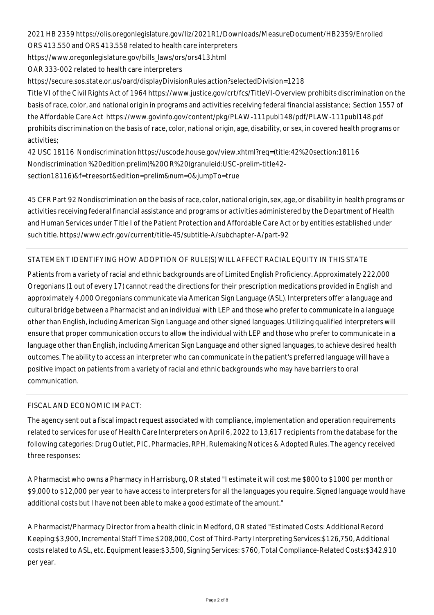2021 HB 2359 https://olis.oregonlegislature.gov/liz/2021R1/Downloads/MeasureDocument/HB2359/Enrolled ORS 413.550 and ORS 413.558 related to health care interpreters https://www.oregonlegislature.gov/bills\_laws/ors/ors413.html OAR 333-002 related to health care interpreters

https://secure.sos.state.or.us/oard/displayDivisionRules.action?selectedDivision=1218

Title VI of the Civil Rights Act of 1964 https://www.justice.gov/crt/fcs/TitleVI-Overview prohibits discrimination on the basis of race, color, and national origin in programs and activities receiving federal financial assistance; Section 1557 of the Affordable Care Act https://www.govinfo.gov/content/pkg/PLAW-111publ148/pdf/PLAW-111publ148.pdf prohibits discrimination on the basis of race, color, national origin, age, disability, or sex, in covered health programs or activities;

42 USC 18116 Nondiscrimination https://uscode.house.gov/view.xhtml?req=(title:42%20section:18116 Nondiscrimination %20edition:prelim)%20OR%20(granuleid:USC-prelim-title42 section18116)&f=treesort&edition=prelim&num=0&jumpTo=true

45 CFR Part 92 Nondiscrimination on the basis of race, color, national origin, sex, age, or disability in health programs or activities receiving federal financial assistance and programs or activities administered by the Department of Health and Human Services under Title I of the Patient Protection and Affordable Care Act or by entities established under such title. https://www.ecfr.gov/current/title-45/subtitle-A/subchapter-A/part-92

# STATEMENT IDENTIFYING HOW ADOPTION OF RULE(S) WILL AFFECT RACIAL EQUITY IN THIS STATE

Patients from a variety of racial and ethnic backgrounds are of Limited English Proficiency. Approximately 222,000 Oregonians (1 out of every 17) cannot read the directions for their prescription medications provided in English and approximately 4,000 Oregonians communicate via American Sign Language (ASL). Interpreters offer a language and cultural bridge between a Pharmacist and an individual with LEP and those who prefer to communicate in a language other than English, including American Sign Language and other signed languages. Utilizing qualified interpreters will ensure that proper communication occurs to allow the individual with LEP and those who prefer to communicate in a language other than English, including American Sign Language and other signed languages, to achieve desired health outcomes. The ability to access an interpreter who can communicate in the patient's preferred language will have a positive impact on patients from a variety of racial and ethnic backgrounds who may have barriers to oral communication.

# FISCAL AND ECONOMIC IMPACT:

The agency sent out a fiscal impact request associated with compliance, implementation and operation requirements related to services for use of Health Care Interpreters on April 6, 2022 to 13,617 recipients from the database for the following categories: Drug Outlet, PIC, Pharmacies, RPH, Rulemaking Notices & Adopted Rules. The agency received three responses:

A Pharmacist who owns a Pharmacy in Harrisburg, OR stated "I estimate it will cost me \$800 to \$1000 per month or \$9,000 to \$12,000 per year to have access to interpreters for all the languages you require. Signed language would have additional costs but I have not been able to make a good estimate of the amount."

A Pharmacist/Pharmacy Director from a health clinic in Medford, OR stated "Estimated Costs: Additional Record Keeping:\$3,900, Incremental Staff Time:\$208,000, Cost of Third-Party Interpreting Services:\$126,750, Additional costs related to ASL, etc. Equipment lease:\$3,500, Signing Services: \$760, Total Compliance-Related Costs:\$342,910 per year.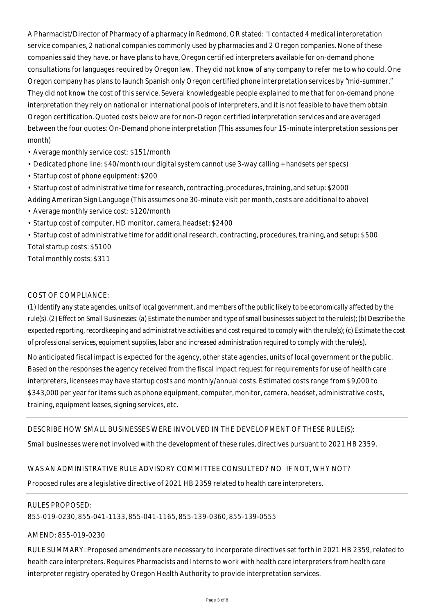A Pharmacist/Director of Pharmacy of a pharmacy in Redmond, OR stated: "I contacted 4 medical interpretation service companies, 2 national companies commonly used by pharmacies and 2 Oregon companies. None of these companies said they have, or have plans to have, Oregon certified interpreters available for on-demand phone consultations for languages required by Oregon law. They did not know of any company to refer me to who could. One Oregon company has plans to launch Spanish only Oregon certified phone interpretation services by "mid-summer." They did not know the cost of this service. Several knowledgeable people explained to me that for on-demand phone interpretation they rely on national or international pools of interpreters, and it is not feasible to have them obtain Oregon certification. Quoted costs below are for non-Oregon certified interpretation services and are averaged between the four quotes: On-Demand phone interpretation (This assumes four 15-minute interpretation sessions per month)

- Average monthly service cost: \$151/month
- Dedicated phone line: \$40/month (our digital system cannot use 3-way calling + handsets per specs)
- Startup cost of phone equipment: \$200
- Startup cost of administrative time for research, contracting, procedures, training, and setup: \$2000 Adding American Sign Language (This assumes one 30-minute visit per month, costs are additional to above)
- Average monthly service cost: \$120/month
- Startup cost of computer, HD monitor, camera, headset: \$2400

• Startup cost of administrative time for additional research, contracting, procedures, training, and setup: \$500 Total startup costs: \$5100

Total monthly costs: \$311

## COST OF COMPLIANCE:

*(1) Identify any state agencies, units of local government, and members of the public likely to be economically affected by the rule(s). (2) Effect on Small Businesses: (a) Estimate the number and type of small businesses subject to the rule(s); (b) Describe the expected reporting, recordkeeping and administrative activities and cost required to comply with the rule(s); (c) Estimate the cost of professional services, equipment supplies, labor and increased administration required to comply with the rule(s).*

No anticipated fiscal impact is expected for the agency, other state agencies, units of local government or the public. Based on the responses the agency received from the fiscal impact request for requirements for use of health care interpreters, licensees may have startup costs and monthly/annual costs. Estimated costs range from \$9,000 to \$343,000 per year for items such as phone equipment, computer, monitor, camera, headset, administrative costs, training, equipment leases, signing services, etc.

### DESCRIBE HOW SMALL BUSINESSES WERE INVOLVED IN THE DEVELOPMENT OF THESE RULE(S):

Small businesses were not involved with the development of these rules, directives pursuant to 2021 HB 2359.

# WAS AN ADMINISTRATIVE RULE ADVISORY COMMITTEE CONSULTED? NO IF NOT, WHY NOT?

Proposed rules are a legislative directive of 2021 HB 2359 related to health care interpreters.

#### RULES PROPOSED:

855-019-0230, 855-041-1133, 855-041-1165, 855-139-0360, 855-139-0555

#### AMEND: 855-019-0230

RULE SUMMARY: Proposed amendments are necessary to incorporate directives set forth in 2021 HB 2359, related to health care interpreters. Requires Pharmacists and Interns to work with health care interpreters from health care interpreter registry operated by Oregon Health Authority to provide interpretation services.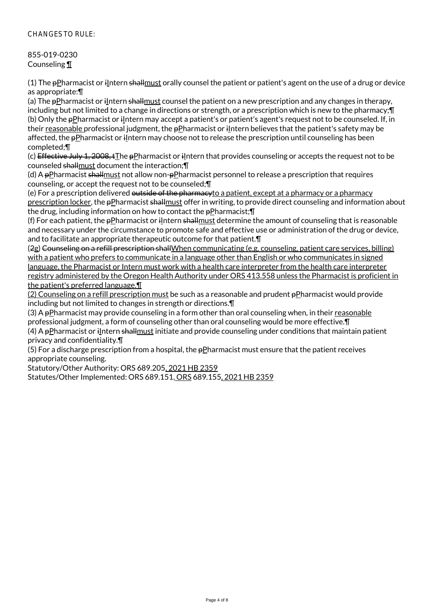# CHANGES TO RULE:

# 855-019-0230 Counseling ¶

(1) The  $p$ Pharmacist or ilntern shallmust orally counsel the patient or patient's agent on the use of a drug or device as appropriate:¶

(a) The pPharmacist or iIntern shallmust counsel the patient on a new prescription and any changes in therapy, including but not limited to a change in directions or strength, or a prescription which is new to the pharmacy;¶ (b) Only the  $p$ Pharmacist or ilntern may accept a patient's or patient's agent's request not to be counseled. If, in their reasonable professional judgment, the pPharmacist or iIntern believes that the patient's safety may be affected, the pPharmacist or ilntern may choose not to release the prescription until counseling has been completed;¶

(c) Effective July 1, 2008, tThe pPharmacist or iIntern that provides counseling or accepts the request not to be counseled shallmust document the interaction;¶

(d) A  $pP$ harmacist shallmust not allow non- $pP$ harmacist personnel to release a prescription that requires counseling, or accept the request not to be counseled;¶

(e) For a prescription delivered outside of the pharmacyto a patient, except at a pharmacy or a pharmacy prescription locker, the pPharmacist shallmust offer in writing, to provide direct counseling and information about the drug, including information on how to contact the  $p$ Pharmacist; $\P$ 

(f) For each patient, the  $\frac{1}{2}P$  pharmacist or ilntern shallmust determine the amount of counseling that is reasonable and necessary under the circumstance to promote safe and effective use or administration of the drug or device, and to facilitate an appropriate therapeutic outcome for that patient.¶

(2g) Counseling on a refill prescription shallWhen communicating (e.g. counseling, patient care services, billing) with a patient who prefers to communicate in a language other than English or who communicates in signed language, the Pharmacist or Intern must work with a health care interpreter from the health care interpreter registry administered by the Oregon Health Authority under ORS 413.558 unless the Pharmacist is proficient in the patient's preferred language.¶

(2) Counseling on a refill prescription must be such as a reasonable and prudent pPharmacist would provide including but not limited to changes in strength or directions.¶

(3) A  $p$ Pharmacist may provide counseling in a form other than oral counseling when, in their reasonable professional judgment, a form of counseling other than oral counseling would be more effective.¶ (4) A  $p$ Pharmacist or ilntern shallmust initiate and provide counseling under conditions that maintain patient

privacy and confidentiality.¶

(5) For a discharge prescription from a hospital, the  $p$ Pharmacist must ensure that the patient receives appropriate counseling.

Statutory/Other Authority: ORS 689.205, 2021 HB 2359

Statutes/Other Implemented: ORS 689.151, ORS 689.155, 2021 HB 2359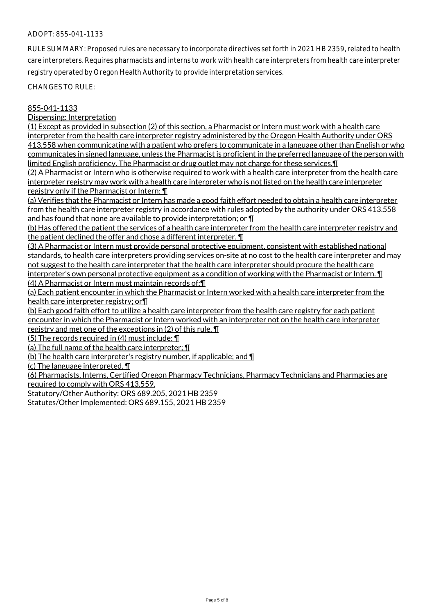## ADOPT: 855-041-1133

RULE SUMMARY: Proposed rules are necessary to incorporate directives set forth in 2021 HB 2359, related to health care interpreters. Requires pharmacists and interns to work with health care interpreters from health care interpreter registry operated by Oregon Health Authority to provide interpretation services.

CHANGES TO RULE:

#### 855-041-1133

Dispensing: Interpretation

(1) Except as provided in subsection (2) of this section, a Pharmacist or Intern must work with a health care interpreter from the health care interpreter registry administered by the Oregon Health Authority under ORS 413.558 when communicating with a patient who prefers to communicate in a language other than English or who communicates in signed language, unless the Pharmacist is proficient in the preferred language of the person with limited English proficiency. The Pharmacist or drug outlet may not charge for these services.¶

(2) A Pharmacist or Intern who is otherwise required to work with a health care interpreter from the health care interpreter registry may work with a health care interpreter who is not listed on the health care interpreter registry only if the Pharmacist or Intern: ¶

(a) Verifies that the Pharmacist or Intern has made a good faith effort needed to obtain a health care interpreter from the health care interpreter registry in accordance with rules adopted by the authority under ORS 413.558 and has found that none are available to provide interpretation; or ¶

(b) Has offered the patient the services of a health care interpreter from the health care interpreter registry and the patient declined the offer and chose a different interpreter. ¶

(3) A Pharmacist or Intern must provide personal protective equipment, consistent with established national standards, to health care interpreters providing services on-site at no cost to the health care interpreter and may not suggest to the health care interpreter that the health care interpreter should procure the health care interpreter's own personal protective equipment as a condition of working with the Pharmacist or Intern. **[1**] (4) A Pharmacist or Intern must maintain records of:¶

(a) Each patient encounter in which the Pharmacist or Intern worked with a health care interpreter from the health care interpreter registry; or¶

(b) Each good faith effort to utilize a health care interpreter from the health care registry for each patient encounter in which the Pharmacist or Intern worked with an interpreter not on the health care interpreter registry and met one of the exceptions in (2) of this rule. ¶

(5) The records required in (4) must include:  $\P$ 

(a) The full name of the health care interpreter; ¶

(b) The health care interpreter's registry number, if applicable; and  $\P$ 

(c) The language interpreted. ¶

(6) Pharmacists, Interns, Certified Oregon Pharmacy Technicians, Pharmacy Technicians and Pharmacies are required to comply with ORS 413.559.

Statutory/Other Authority: ORS 689.205, 2021 HB 2359

Statutes/Other Implemented: ORS 689.155, 2021 HB 2359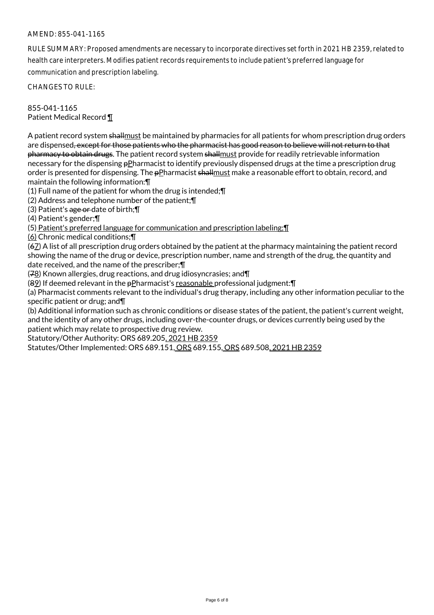# AMEND: 855-041-1165

RULE SUMMARY: Proposed amendments are necessary to incorporate directives set forth in 2021 HB 2359, related to health care interpreters. Modifies patient records requirements to include patient's preferred language for communication and prescription labeling.

CHANGES TO RULE:

855-041-1165 Patient Medical Record ¶

A patient record system shallmust be maintained by pharmacies for all patients for whom prescription drug orders are dispensed, except for those patients who the pharmacist has good reason to believe will not return to that pharmacy to obtain drugs. The patient record system shall must provide for readily retrievable information necessary for the dispensing pPharmacist to identify previously dispensed drugs at the time a prescription drug order is presented for dispensing. The pPharmacist shallmust make a reasonable effort to obtain, record, and maintain the following information:¶

(1) Full name of the patient for whom the drug is intended;¶

(2) Address and telephone number of the patient;¶

(3) Patient's age or date of birth;¶

(4) Patient's gender;¶

(5) Patient's preferred language for communication and prescription labeling;¶

(6) Chronic medical conditions;¶

(67) A list of all prescription drug orders obtained by the patient at the pharmacy maintaining the patient record showing the name of the drug or device, prescription number, name and strength of the drug, the quantity and date received, and the name of the prescriber;¶

 $(78)$  Known allergies, drug reactions, and drug idiosyncrasies; and  $\P$ 

( $82$ ) If deemed relevant in the  $p$ Pharmacist's reasonable professional judgment: $\P$ 

(a) Pharmacist comments relevant to the individual's drug therapy, including any other information peculiar to the specific patient or drug; and¶

(b) Additional information such as chronic conditions or disease states of the patient, the patient's current weight, and the identity of any other drugs, including over-the-counter drugs, or devices currently being used by the patient which may relate to prospective drug review.

Statutory/Other Authority: ORS 689.205, 2021 HB 2359

Statutes/Other Implemented: ORS 689.151, ORS 689.155, ORS 689.508, 2021 HB 2359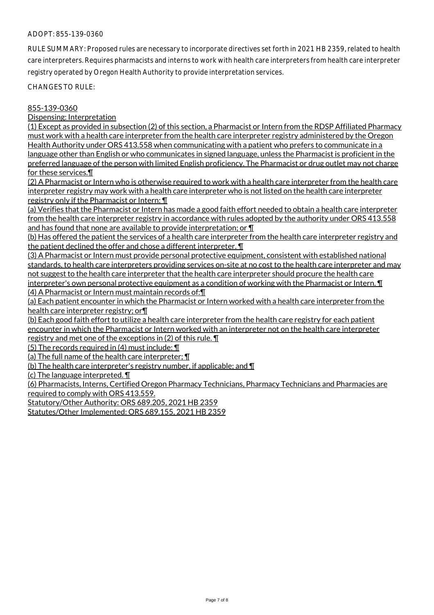### ADOPT: 855-139-0360

RULE SUMMARY: Proposed rules are necessary to incorporate directives set forth in 2021 HB 2359, related to health care interpreters. Requires pharmacists and interns to work with health care interpreters from health care interpreter registry operated by Oregon Health Authority to provide interpretation services.

CHANGES TO RULE:

#### 855-139-0360

Dispensing: Interpretation

(1) Except as provided in subsection (2) of this section, a Pharmacist or Intern from the RDSP Affiliated Pharmacy must work with a health care interpreter from the health care interpreter registry administered by the Oregon Health Authority under ORS 413.558 when communicating with a patient who prefers to communicate in a language other than English or who communicates in signed language, unless the Pharmacist is proficient in the preferred language of the person with limited English proficiency. The Pharmacist or drug outlet may not charge for these services.¶

(2) A Pharmacist or Intern who is otherwise required to work with a health care interpreter from the health care interpreter registry may work with a health care interpreter who is not listed on the health care interpreter registry only if the Pharmacist or Intern: ¶

(a) Verifies that the Pharmacist or Intern has made a good faith effort needed to obtain a health care interpreter from the health care interpreter registry in accordance with rules adopted by the authority under ORS 413.558 and has found that none are available to provide interpretation; or ¶

(b) Has offered the patient the services of a health care interpreter from the health care interpreter registry and the patient declined the offer and chose a different interpreter. ¶

(3) A Pharmacist or Intern must provide personal protective equipment, consistent with established national standards, to health care interpreters providing services on-site at no cost to the health care interpreter and may not suggest to the health care interpreter that the health care interpreter should procure the health care interpreter's own personal protective equipment as a condition of working with the Pharmacist or Intern. **[1**] (4) A Pharmacist or Intern must maintain records of:¶

(a) Each patient encounter in which the Pharmacist or Intern worked with a health care interpreter from the health care interpreter registry; or¶

(b) Each good faith effort to utilize a health care interpreter from the health care registry for each patient encounter in which the Pharmacist or Intern worked with an interpreter not on the health care interpreter registry and met one of the exceptions in (2) of this rule. ¶

(5) The records required in (4) must include: ¶

(a) The full name of the health care interpreter; ¶

(b) The health care interpreter's registry number, if applicable; and ¶

(c) The language interpreted. ¶

(6) Pharmacists, Interns, Certified Oregon Pharmacy Technicians, Pharmacy Technicians and Pharmacies are required to comply with ORS 413.559.

Statutory/Other Authority: ORS 689.205, 2021 HB 2359

Statutes/Other Implemented: ORS 689.155, 2021 HB 2359